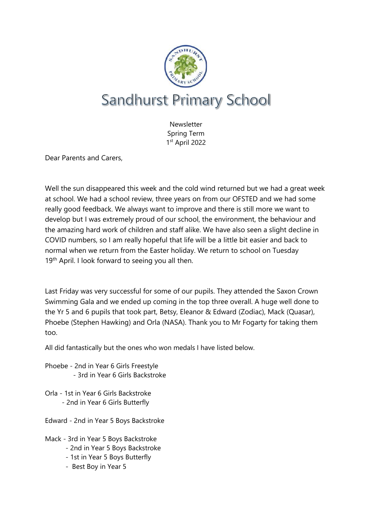

**Newsletter** Spring Term 1 st April 2022

Dear Parents and Carers,

Well the sun disappeared this week and the cold wind returned but we had a great week at school. We had a school review, three years on from our OFSTED and we had some really good feedback. We always want to improve and there is still more we want to develop but I was extremely proud of our school, the environment, the behaviour and the amazing hard work of children and staff alike. We have also seen a slight decline in COVID numbers, so I am really hopeful that life will be a little bit easier and back to normal when we return from the Easter holiday. We return to school on Tuesday 19<sup>th</sup> April. I look forward to seeing you all then.

Last Friday was very successful for some of our pupils. They attended the Saxon Crown Swimming Gala and we ended up coming in the top three overall. A huge well done to the Yr 5 and 6 pupils that took part, Betsy, Eleanor & Edward (Zodiac), Mack (Quasar), Phoebe (Stephen Hawking) and Orla (NASA). Thank you to Mr Fogarty for taking them too.

All did fantastically but the ones who won medals I have listed below.

Phoebe - 2nd in Year 6 Girls Freestyle - 3rd in Year 6 Girls Backstroke

Orla - 1st in Year 6 Girls Backstroke - 2nd in Year 6 Girls Butterfly

Edward - 2nd in Year 5 Boys Backstroke

Mack - 3rd in Year 5 Boys Backstroke

- 2nd in Year 5 Boys Backstroke
- 1st in Year 5 Boys Butterfly
- Best Boy in Year 5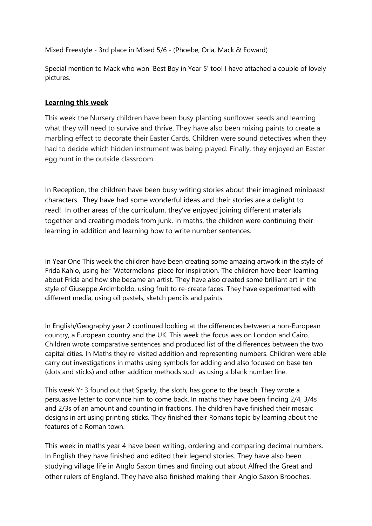Mixed Freestyle - 3rd place in Mixed 5/6 - (Phoebe, Orla, Mack & Edward)

Special mention to Mack who won 'Best Boy in Year 5' too! I have attached a couple of lovely pictures.

### **Learning this week**

This week the Nursery children have been busy planting sunflower seeds and learning what they will need to survive and thrive. They have also been mixing paints to create a marbling effect to decorate their Easter Cards. Children were sound detectives when they had to decide which hidden instrument was being played. Finally, they enjoyed an Easter egg hunt in the outside classroom.

In Reception, the children have been busy writing stories about their imagined minibeast characters. They have had some wonderful ideas and their stories are a delight to read! In other areas of the curriculum, they've enjoyed joining different materials together and creating models from junk. In maths, the children were continuing their learning in addition and learning how to write number sentences.

In Year One This week the children have been creating some amazing artwork in the style of Frida Kahlo, using her 'Watermelons' piece for inspiration. The children have been learning about Frida and how she became an artist. They have also created some brilliant art in the style of Giuseppe Arcimboldo, using fruit to re-create faces. They have experimented with different media, using oil pastels, sketch pencils and paints.

In English/Geography year 2 continued looking at the differences between a non-European country, a European country and the UK. This week the focus was on London and Cairo. Children wrote comparative sentences and produced list of the differences between the two capital cities. In Maths they re-visited addition and representing numbers. Children were able carry out investigations in maths using symbols for adding and also focused on base ten (dots and sticks) and other addition methods such as using a blank number line.

This week Yr 3 found out that Sparky, the sloth, has gone to the beach. They wrote a persuasive letter to convince him to come back. In maths they have been finding 2/4, 3/4s and 2/3s of an amount and counting in fractions. The children have finished their mosaic designs in art using printing sticks. They finished their Romans topic by learning about the features of a Roman town.

This week in maths year 4 have been writing, ordering and comparing decimal numbers. In English they have finished and edited their legend stories. They have also been studying village life in Anglo Saxon times and finding out about Alfred the Great and other rulers of England. They have also finished making their Anglo Saxon Brooches.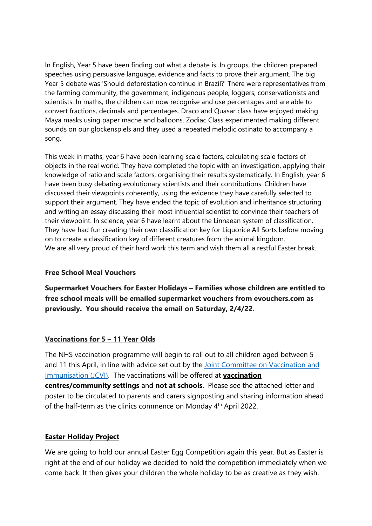ln English, Year 5 have been finding out what a debate is. In groups, the children prepared speeches using persuasive language, evidence and facts to prove their argument. The big Year 5 debate was 'Should deforestation continue in Brazil?' There were representatives from the farming community, the government, indigenous people, loggers, conservationists and scientists. In maths, the children can now recognise and use percentages and are able to convert fractions, decimals and percentages. Draco and Quasar class have enjoyed making Maya masks using paper mache and balloons. Zodiac Class experimented making different sounds on our glockenspiels and they used a repeated melodic ostinato to accompany a song.

This week in maths, year 6 have been learning scale factors, calculating scale factors of objects in the real world. They have completed the topic with an investigation, applying their knowledge of ratio and scale factors, organising their results systematically. In English, year 6 have been busy debating evolutionary scientists and their contributions. Children have discussed their viewpoints coherently, using the evidence they have carefully selected to support their argument. They have ended the topic of evolution and inheritance structuring and writing an essay discussing their most influential scientist to convince their teachers of their viewpoint. In science, year 6 have learnt about the Linnaean system of classification. They have had fun creating their own classification key for Liquorice All Sorts before moving on to create a classification key of different creatures from the animal kingdom. We are all very proud of their hard work this term and wish them all a restful Easter break.

# **Free School Meal Vouchers**

**Supermarket Vouchers for Easter Holidays – Families whose children are entitled to free school meals will be emailed supermarket vouchers from evouchers.com as previously. You should receive the email on Saturday, 2/4/22.**

# **Vaccinations for 5 – 11 Year Olds**

The NHS vaccination programme will begin to roll out to all children aged between 5 and 11 this April, in line with advice set out by the Joint Committee on [Vaccination](https://www.gov.uk/government/publications/priority-groups-for-coronavirus-covid-19-vaccination-advice-from-the-jcvi-30-december-2020/joint-committee-on-vaccination-and-immunisation-advice-on-priority-groups-for-covid-19-vaccination-30-december-2020) and [Immunisation](https://www.gov.uk/government/publications/priority-groups-for-coronavirus-covid-19-vaccination-advice-from-the-jcvi-30-december-2020/joint-committee-on-vaccination-and-immunisation-advice-on-priority-groups-for-covid-19-vaccination-30-december-2020) (JCVI). The vaccinations will be offered at **vaccination centres/community settings** and **not at schools**. Please see the attached letter and poster to be circulated to parents and carers signposting and sharing information ahead of the half-term as the clinics commence on Monday 4<sup>th</sup> April 2022.

# **Easter Holiday Project**

We are going to hold our annual Easter Egg Competition again this year. But as Easter is right at the end of our holiday we decided to hold the competition immediately when we come back. It then gives your children the whole holiday to be as creative as they wish.